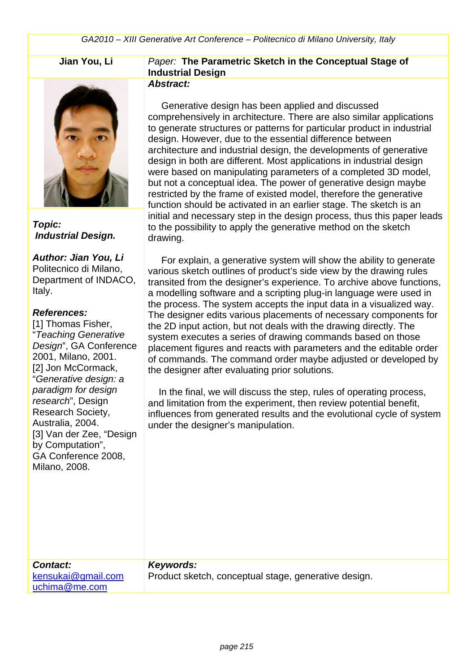

*Topic: Industrial Design.*

*Author: Jian You, Li* Politecnico di Milano, Department of INDACO, Italy.

#### *References:*

[1] Thomas Fisher, "*Teaching Generative Design*", GA Conference 2001, Milano, 2001. [2] Jon McCormack, "*Generative design: a paradigm for design research*", Design Research Society, Australia, 2004. [3] Van der Zee, "Design by Computation", GA Conference 2008, Milano, 2008.

# **Jian You, Li** *Paper:* **The Parametric Sketch in the Conceptual Stage of Industrial Design**

## *Abstract:*

 Generative design has been applied and discussed comprehensively in architecture. There are also similar applications to generate structures or patterns for particular product in industrial design. However, due to the essential difference between architecture and industrial design, the developments of generative design in both are different. Most applications in industrial design were based on manipulating parameters of a completed 3D model, but not a conceptual idea. The power of generative design maybe restricted by the frame of existed model, therefore the generative function should be activated in an earlier stage. The sketch is an initial and necessary step in the design process, thus this paper leads to the possibility to apply the generative method on the sketch drawing.

 For explain, a generative system will show the ability to generate various sketch outlines of product's side view by the drawing rules transited from the designer's experience. To archive above functions, a modelling software and a scripting plug-in language were used in the process. The system accepts the input data in a visualized way. The designer edits various placements of necessary components for the 2D input action, but not deals with the drawing directly. The system executes a series of drawing commands based on those placement figures and reacts with parameters and the editable order of commands. The command order maybe adjusted or developed by the designer after evaluating prior solutions.

 In the final, we will discuss the step, rules of operating process, and limitation from the experiment, then review potential benefit, influences from generated results and the evolutional cycle of system under the designer's manipulation.

#### *Contact:*

kensukai@gmail.com uchima@me.com

*Keywords:*  Product sketch, conceptual stage, generative design.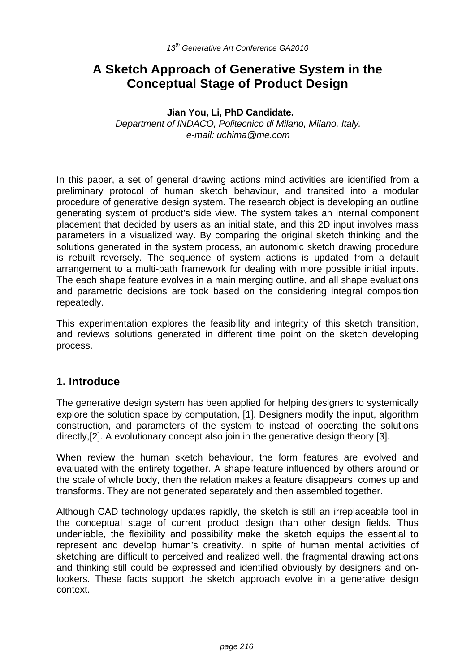# **A Sketch Approach of Generative System in the Conceptual Stage of Product Design**

#### **Jian You, Li, PhD Candidate.** *Department of INDACO, Politecnico di Milano, Milano, Italy. e-mail: uchima@me.com*

In this paper, a set of general drawing actions mind activities are identified from a preliminary protocol of human sketch behaviour, and transited into a modular procedure of generative design system. The research object is developing an outline generating system of product's side view. The system takes an internal component placement that decided by users as an initial state, and this 2D input involves mass parameters in a visualized way. By comparing the original sketch thinking and the solutions generated in the system process, an autonomic sketch drawing procedure is rebuilt reversely. The sequence of system actions is updated from a default arrangement to a multi-path framework for dealing with more possible initial inputs. The each shape feature evolves in a main merging outline, and all shape evaluations and parametric decisions are took based on the considering integral composition repeatedly.

This experimentation explores the feasibility and integrity of this sketch transition, and reviews solutions generated in different time point on the sketch developing process.

# **1. Introduce**

The generative design system has been applied for helping designers to systemically explore the solution space by computation, [1]. Designers modify the input, algorithm construction, and parameters of the system to instead of operating the solutions directly,[2]. A evolutionary concept also join in the generative design theory [3].

When review the human sketch behaviour, the form features are evolved and evaluated with the entirety together. A shape feature influenced by others around or the scale of whole body, then the relation makes a feature disappears, comes up and transforms. They are not generated separately and then assembled together.

Although CAD technology updates rapidly, the sketch is still an irreplaceable tool in the conceptual stage of current product design than other design fields. Thus undeniable, the flexibility and possibility make the sketch equips the essential to represent and develop human's creativity. In spite of human mental activities of sketching are difficult to perceived and realized well, the fragmental drawing actions and thinking still could be expressed and identified obviously by designers and onlookers. These facts support the sketch approach evolve in a generative design context.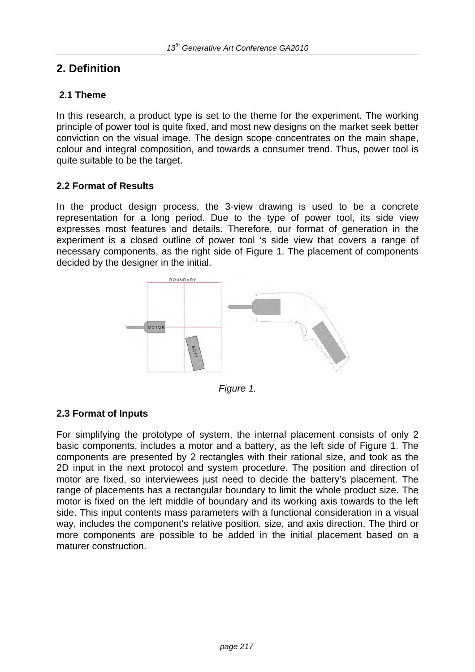# **2. Definition**

### **2.1 Theme**

In this research, a product type is set to the theme for the experiment. The working principle of power tool is quite fixed, and most new designs on the market seek better conviction on the visual image. The design scope concentrates on the main shape, colour and integral composition, and towards a consumer trend. Thus, power tool is quite suitable to be the target.

#### **2.2 Format of Results**

In the product design process, the 3-view drawing is used to be a concrete representation for a long period. Due to the type of power tool, its side view expresses most features and details. Therefore, our format of generation in the experiment is a closed outline of power tool 's side view that covers a range of necessary components, as the right side of Figure 1. The placement of components decided by the designer in the initial.



*Figure 1.*

#### **2.3 Format of Inputs**

For simplifying the prototype of system, the internal placement consists of only 2 basic components, includes a motor and a battery, as the left side of Figure 1. The components are presented by 2 rectangles with their rational size, and took as the 2D input in the next protocol and system procedure. The position and direction of motor are fixed, so interviewees just need to decide the battery's placement. The range of placements has a rectangular boundary to limit the whole product size. The motor is fixed on the left middle of boundary and its working axis towards to the left side. This input contents mass parameters with a functional consideration in a visual way, includes the component's relative position, size, and axis direction. The third or more components are possible to be added in the initial placement based on a maturer construction.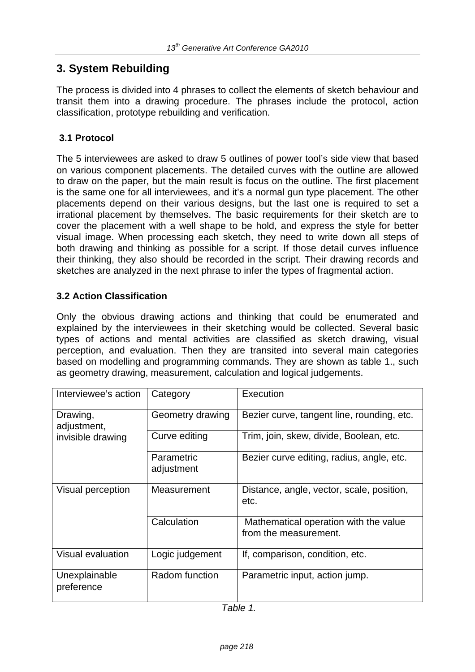# **3. System Rebuilding**

The process is divided into 4 phrases to collect the elements of sketch behaviour and transit them into a drawing procedure. The phrases include the protocol, action classification, prototype rebuilding and verification.

## **3.1 Protocol**

The 5 interviewees are asked to draw 5 outlines of power tool's side view that based on various component placements. The detailed curves with the outline are allowed to draw on the paper, but the main result is focus on the outline. The first placement is the same one for all interviewees, and it's a normal gun type placement. The other placements depend on their various designs, but the last one is required to set a irrational placement by themselves. The basic requirements for their sketch are to cover the placement with a well shape to be hold, and express the style for better visual image. When processing each sketch, they need to write down all steps of both drawing and thinking as possible for a script. If those detail curves influence their thinking, they also should be recorded in the script. Their drawing records and sketches are analyzed in the next phrase to infer the types of fragmental action.

## **3.2 Action Classification**

Only the obvious drawing actions and thinking that could be enumerated and explained by the interviewees in their sketching would be collected. Several basic types of actions and mental activities are classified as sketch drawing, visual perception, and evaluation. Then they are transited into several main categories based on modelling and programming commands. They are shown as table 1., such as geometry drawing, measurement, calculation and logical judgements.

| Interviewee's action                         | Category                 | Execution                                                      |
|----------------------------------------------|--------------------------|----------------------------------------------------------------|
| Drawing,<br>adjustment,<br>invisible drawing | Geometry drawing         | Bezier curve, tangent line, rounding, etc.                     |
|                                              | Curve editing            | Trim, join, skew, divide, Boolean, etc.                        |
|                                              | Parametric<br>adjustment | Bezier curve editing, radius, angle, etc.                      |
| Visual perception                            | Measurement              | Distance, angle, vector, scale, position,<br>etc.              |
|                                              | Calculation              | Mathematical operation with the value<br>from the measurement. |
| <b>Visual evaluation</b>                     | Logic judgement          | If, comparison, condition, etc.                                |
| Unexplainable<br>preference                  | Radom function           | Parametric input, action jump.                                 |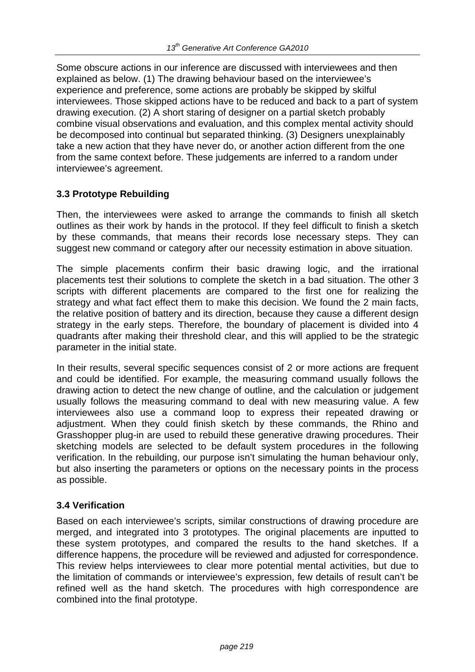Some obscure actions in our inference are discussed with interviewees and then explained as below. (1) The drawing behaviour based on the interviewee's experience and preference, some actions are probably be skipped by skilful interviewees. Those skipped actions have to be reduced and back to a part of system drawing execution. (2) A short staring of designer on a partial sketch probably combine visual observations and evaluation, and this complex mental activity should be decomposed into continual but separated thinking. (3) Designers unexplainably take a new action that they have never do, or another action different from the one from the same context before. These judgements are inferred to a random under interviewee's agreement.

## **3.3 Prototype Rebuilding**

Then, the interviewees were asked to arrange the commands to finish all sketch outlines as their work by hands in the protocol. If they feel difficult to finish a sketch by these commands, that means their records lose necessary steps. They can suggest new command or category after our necessity estimation in above situation.

The simple placements confirm their basic drawing logic, and the irrational placements test their solutions to complete the sketch in a bad situation. The other 3 scripts with different placements are compared to the first one for realizing the strategy and what fact effect them to make this decision. We found the 2 main facts, the relative position of battery and its direction, because they cause a different design strategy in the early steps. Therefore, the boundary of placement is divided into 4 quadrants after making their threshold clear, and this will applied to be the strategic parameter in the initial state.

In their results, several specific sequences consist of 2 or more actions are frequent and could be identified. For example, the measuring command usually follows the drawing action to detect the new change of outline, and the calculation or judgement usually follows the measuring command to deal with new measuring value. A few interviewees also use a command loop to express their repeated drawing or adjustment. When they could finish sketch by these commands, the Rhino and Grasshopper plug-in are used to rebuild these generative drawing procedures. Their sketching models are selected to be default system procedures in the following verification. In the rebuilding, our purpose isn't simulating the human behaviour only, but also inserting the parameters or options on the necessary points in the process as possible.

## **3.4 Verification**

Based on each interviewee's scripts, similar constructions of drawing procedure are merged, and integrated into 3 prototypes. The original placements are inputted to these system prototypes, and compared the results to the hand sketches. If a difference happens, the procedure will be reviewed and adjusted for correspondence. This review helps interviewees to clear more potential mental activities, but due to the limitation of commands or interviewee's expression, few details of result can't be refined well as the hand sketch. The procedures with high correspondence are combined into the final prototype.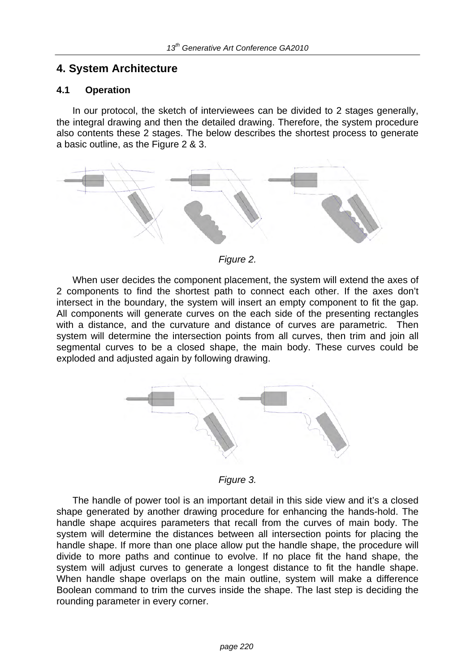# **4. System Architecture**

#### **4.1 Operation**

 In our protocol, the sketch of interviewees can be divided to 2 stages generally, the integral drawing and then the detailed drawing. Therefore, the system procedure also contents these 2 stages. The below describes the shortest process to generate a basic outline, as the Figure 2 & 3.



*Figure 2.* 

 When user decides the component placement, the system will extend the axes of 2 components to find the shortest path to connect each other. If the axes don't intersect in the boundary, the system will insert an empty component to fit the gap. All components will generate curves on the each side of the presenting rectangles with a distance, and the curvature and distance of curves are parametric. Then system will determine the intersection points from all curves, then trim and join all segmental curves to be a closed shape, the main body. These curves could be exploded and adjusted again by following drawing.



*Figure 3.* 

 The handle of power tool is an important detail in this side view and it's a closed shape generated by another drawing procedure for enhancing the hands-hold. The handle shape acquires parameters that recall from the curves of main body. The system will determine the distances between all intersection points for placing the handle shape. If more than one place allow put the handle shape, the procedure will divide to more paths and continue to evolve. If no place fit the hand shape, the system will adjust curves to generate a longest distance to fit the handle shape. When handle shape overlaps on the main outline, system will make a difference Boolean command to trim the curves inside the shape. The last step is deciding the rounding parameter in every corner.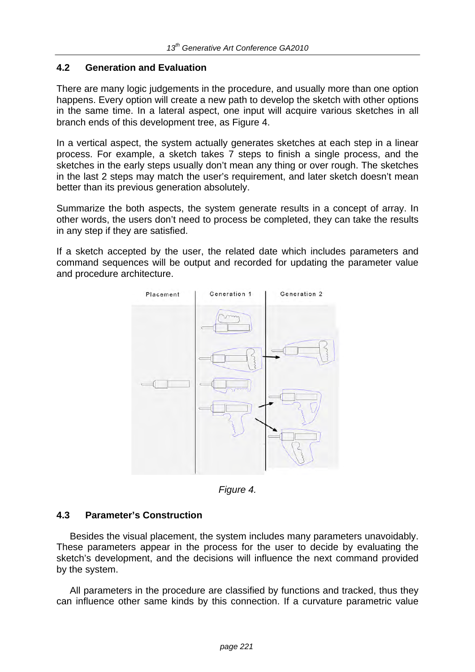### **4.2 Generation and Evaluation**

There are many logic judgements in the procedure, and usually more than one option happens. Every option will create a new path to develop the sketch with other options in the same time. In a lateral aspect, one input will acquire various sketches in all branch ends of this development tree, as Figure 4.

In a vertical aspect, the system actually generates sketches at each step in a linear process. For example, a sketch takes 7 steps to finish a single process, and the sketches in the early steps usually don't mean any thing or over rough. The sketches in the last 2 steps may match the user's requirement, and later sketch doesn't mean better than its previous generation absolutely.

Summarize the both aspects, the system generate results in a concept of array. In other words, the users don't need to process be completed, they can take the results in any step if they are satisfied.

If a sketch accepted by the user, the related date which includes parameters and command sequences will be output and recorded for updating the parameter value and procedure architecture.



*Figure 4.* 

#### **4.3 Parameter's Construction**

 Besides the visual placement, the system includes many parameters unavoidably. These parameters appear in the process for the user to decide by evaluating the sketch's development, and the decisions will influence the next command provided by the system.

 All parameters in the procedure are classified by functions and tracked, thus they can influence other same kinds by this connection. If a curvature parametric value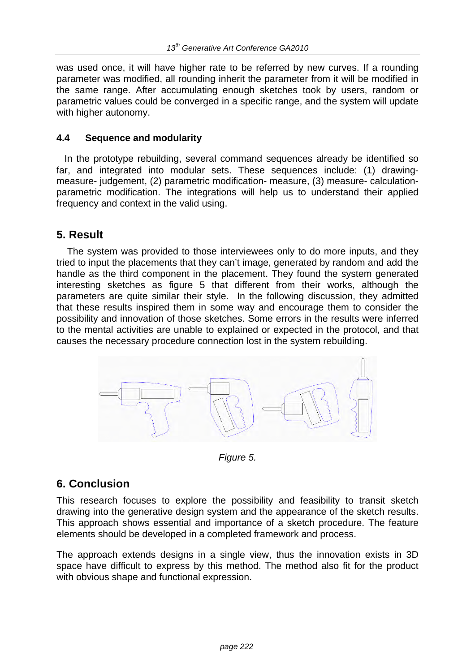was used once, it will have higher rate to be referred by new curves. If a rounding parameter was modified, all rounding inherit the parameter from it will be modified in the same range. After accumulating enough sketches took by users, random or parametric values could be converged in a specific range, and the system will update with higher autonomy.

## **4.4 Sequence and modularity**

 In the prototype rebuilding, several command sequences already be identified so far, and integrated into modular sets. These sequences include: (1) drawingmeasure- judgement, (2) parametric modification- measure, (3) measure- calculationparametric modification. The integrations will help us to understand their applied frequency and context in the valid using.

# **5. Result**

 The system was provided to those interviewees only to do more inputs, and they tried to input the placements that they can't image, generated by random and add the handle as the third component in the placement. They found the system generated interesting sketches as figure 5 that different from their works, although the parameters are quite similar their style. In the following discussion, they admitted that these results inspired them in some way and encourage them to consider the possibility and innovation of those sketches. Some errors in the results were inferred to the mental activities are unable to explained or expected in the protocol, and that causes the necessary procedure connection lost in the system rebuilding.



*Figure 5.* 

# **6. Conclusion**

This research focuses to explore the possibility and feasibility to transit sketch drawing into the generative design system and the appearance of the sketch results. This approach shows essential and importance of a sketch procedure. The feature elements should be developed in a completed framework and process.

The approach extends designs in a single view, thus the innovation exists in 3D space have difficult to express by this method. The method also fit for the product with obvious shape and functional expression.